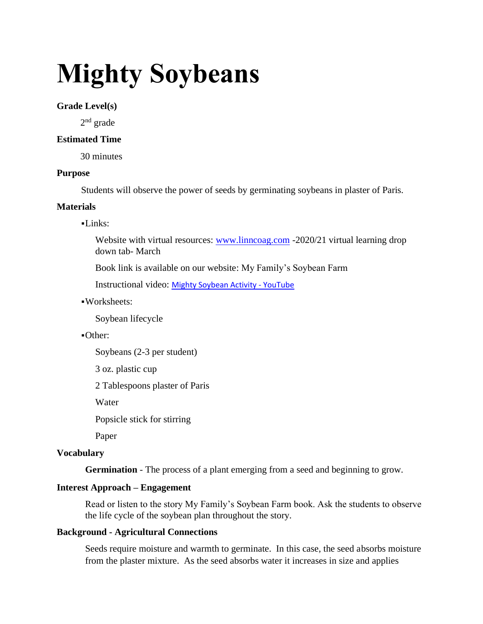# **Mighty Soybeans**

## **Grade Level(s)**

2<sup>nd</sup> grade

## **Estimated Time**

30 minutes

## **Purpose**

Students will observe the power of seeds by germinating soybeans in plaster of Paris.

## **Materials**

## $-Links:$

Website with virtual resources: [www.linncoag.com](http://www.linncoag.com/) -2020/21 virtual learning drop down tab- March

Book link is available on our website: My Family's Soybean Farm

Instructional video: [Mighty Soybean Activity -](https://www.youtube.com/watch?v=_ji3X32slbk) YouTube

▪Worksheets:

Soybean lifecycle

## ▪Other:

Soybeans (2-3 per student)

3 oz. plastic cup

2 Tablespoons plaster of Paris

Water

Popsicle stick for stirring

Paper

# **Vocabulary**

**Germination** - The process of a plant emerging from a seed and beginning to grow.

## **Interest Approach – Engagement**

Read or listen to the story My Family's Soybean Farm book. Ask the students to observe the life cycle of the soybean plan throughout the story.

## **Background - Agricultural Connections**

Seeds require moisture and warmth to germinate. In this case, the seed absorbs moisture from the plaster mixture. As the seed absorbs water it increases in size and applies